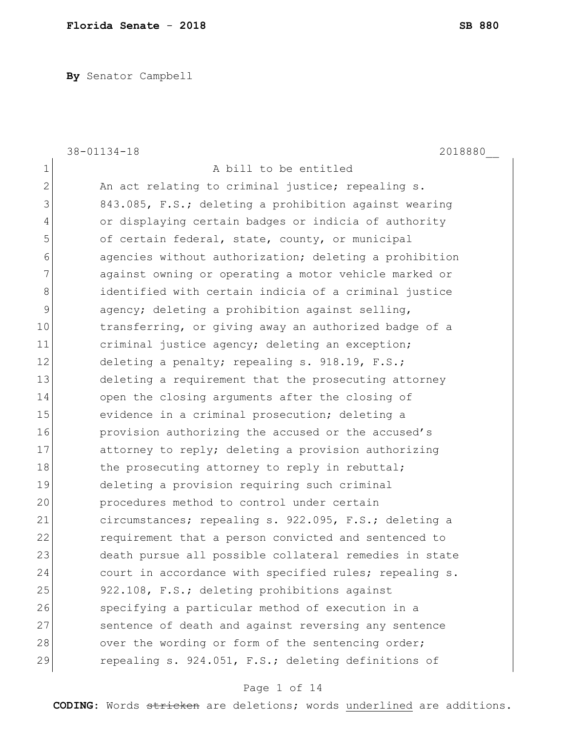**By** Senator Campbell

|                | $38 - 01134 - 18$<br>2018880                           |
|----------------|--------------------------------------------------------|
| 1              | A bill to be entitled                                  |
| $\overline{2}$ | An act relating to criminal justice; repealing s.      |
| 3              | 843.085, F.S.; deleting a prohibition against wearing  |
| 4              | or displaying certain badges or indicia of authority   |
| 5              | of certain federal, state, county, or municipal        |
| 6              | agencies without authorization; deleting a prohibition |
| 7              | against owning or operating a motor vehicle marked or  |
| 8              | identified with certain indicia of a criminal justice  |
| 9              | agency; deleting a prohibition against selling,        |
| 10             | transferring, or giving away an authorized badge of a  |
| 11             | criminal justice agency; deleting an exception;        |
| 12             | deleting a penalty; repealing s. 918.19, F.S.;         |
| 13             | deleting a requirement that the prosecuting attorney   |
| 14             | open the closing arguments after the closing of        |
| 15             | evidence in a criminal prosecution; deleting a         |
| 16             | provision authorizing the accused or the accused's     |
| 17             | attorney to reply; deleting a provision authorizing    |
| 18             | the prosecuting attorney to reply in rebuttal;         |
| 19             | deleting a provision requiring such criminal           |
| 20             | procedures method to control under certain             |
| 21             | circumstances; repealing s. 922.095, F.S.; deleting a  |
| 22             | requirement that a person convicted and sentenced to   |
| 23             | death pursue all possible collateral remedies in state |
| 24             | court in accordance with specified rules; repealing s. |
| 25             | 922.108, F.S.; deleting prohibitions against           |
| 26             | specifying a particular method of execution in a       |
| 27             | sentence of death and against reversing any sentence   |
| 28             | over the wording or form of the sentencing order;      |
| 29             | repealing s. 924.051, F.S.; deleting definitions of    |

# Page 1 of 14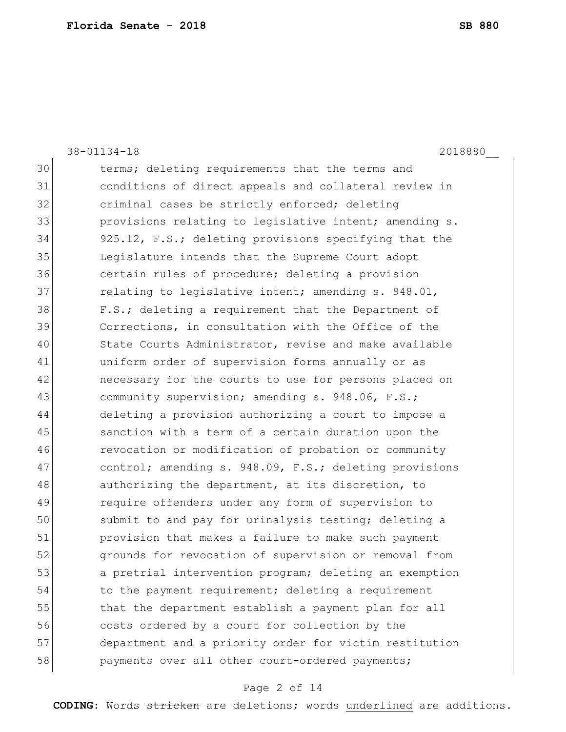|    | $38 - 01134 - 18$<br>2018880                           |
|----|--------------------------------------------------------|
| 30 | terms; deleting requirements that the terms and        |
| 31 | conditions of direct appeals and collateral review in  |
| 32 | criminal cases be strictly enforced; deleting          |
| 33 | provisions relating to legislative intent; amending s. |
| 34 | 925.12, F.S.; deleting provisions specifying that the  |
| 35 | Legislature intends that the Supreme Court adopt       |
| 36 | certain rules of procedure; deleting a provision       |
| 37 | relating to legislative intent; amending s. 948.01,    |
| 38 | F.S.; deleting a requirement that the Department of    |
| 39 | Corrections, in consultation with the Office of the    |
| 40 | State Courts Administrator, revise and make available  |
| 41 | uniform order of supervision forms annually or as      |
| 42 | necessary for the courts to use for persons placed on  |
| 43 | community supervision; amending s. 948.06, F.S.;       |
| 44 | deleting a provision authorizing a court to impose a   |
| 45 | sanction with a term of a certain duration upon the    |
| 46 | revocation or modification of probation or community   |
| 47 | control; amending s. 948.09, F.S.; deleting provisions |
| 48 | authorizing the department, at its discretion, to      |
| 49 | require offenders under any form of supervision to     |
| 50 | submit to and pay for urinalysis testing; deleting a   |
| 51 | provision that makes a failure to make such payment    |
| 52 | grounds for revocation of supervision or removal from  |
| 53 | a pretrial intervention program; deleting an exemption |
| 54 | to the payment requirement; deleting a requirement     |
| 55 | that the department establish a payment plan for all   |
| 56 | costs ordered by a court for collection by the         |
| 57 | department and a priority order for victim restitution |
| 58 | payments over all other court-ordered payments;        |

# Page 2 of 14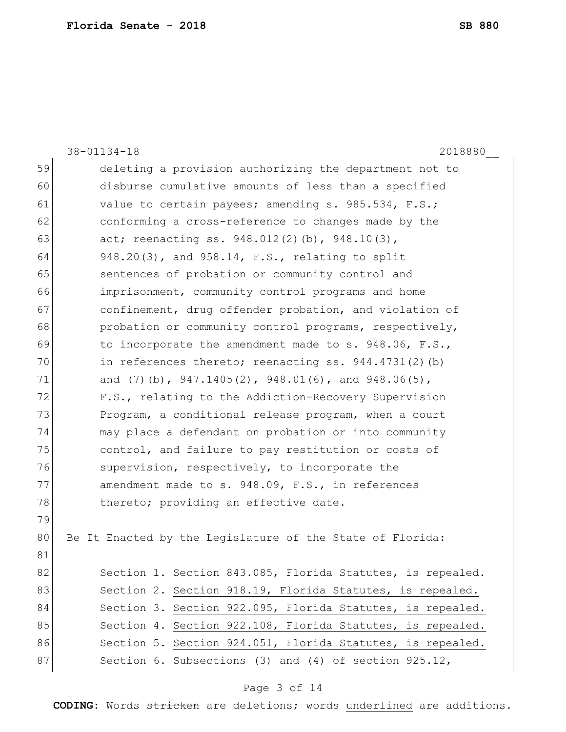|    | $38 - 01134 - 18$<br>2018880                                |
|----|-------------------------------------------------------------|
| 59 | deleting a provision authorizing the department not to      |
| 60 | disburse cumulative amounts of less than a specified        |
| 61 | value to certain payees; amending s. 985.534, F.S.;         |
| 62 | conforming a cross-reference to changes made by the         |
| 63 | act; reenacting ss. 948.012(2)(b), 948.10(3),               |
| 64 | 948.20(3), and 958.14, F.S., relating to split              |
| 65 | sentences of probation or community control and             |
| 66 | imprisonment, community control programs and home           |
| 67 | confinement, drug offender probation, and violation of      |
| 68 | probation or community control programs, respectively,      |
| 69 | to incorporate the amendment made to s. 948.06, F.S.,       |
| 70 | in references thereto; reenacting ss. $944.4731(2)$ (b)     |
| 71 | and (7)(b), $947.1405(2)$ , $948.01(6)$ , and $948.06(5)$ , |
| 72 | F.S., relating to the Addiction-Recovery Supervision        |
| 73 | Program, a conditional release program, when a court        |
| 74 | may place a defendant on probation or into community        |
| 75 | control, and failure to pay restitution or costs of         |
| 76 | supervision, respectively, to incorporate the               |
| 77 | amendment made to s. 948.09, F.S., in references            |
| 78 | thereto; providing an effective date.                       |
| 79 |                                                             |
| 80 | Be It Enacted by the Legislature of the State of Florida:   |
| 81 |                                                             |
| 82 | Section 1. Section 843.085, Florida Statutes, is repealed.  |
| 83 | Section 2. Section 918.19, Florida Statutes, is repealed.   |
| 84 | Section 3. Section 922.095, Florida Statutes, is repealed.  |
| 85 | Section 4. Section 922.108, Florida Statutes, is repealed.  |
| 86 | Section 5. Section 924.051, Florida Statutes, is repealed.  |
| 87 | Section 6. Subsections (3) and (4) of section $925.12$ ,    |

# Page 3 of 14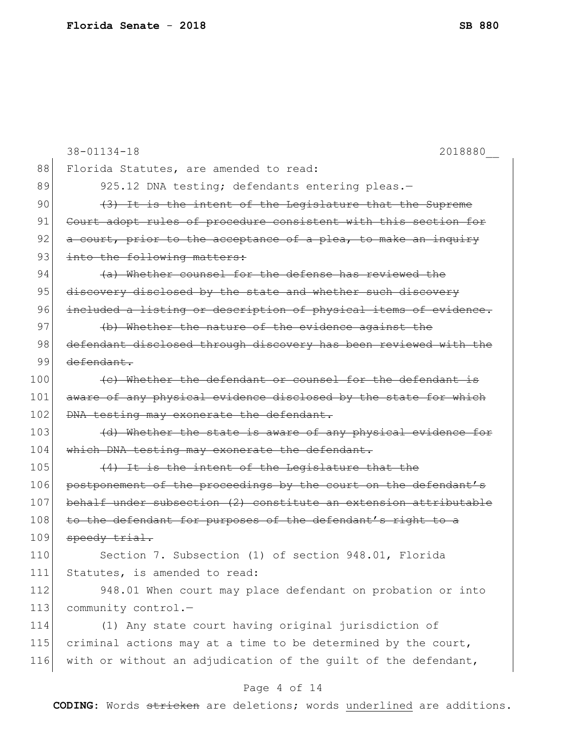|     | $38 - 01134 - 18$<br>2018880                                     |
|-----|------------------------------------------------------------------|
| 88  | Florida Statutes, are amended to read:                           |
| 89  | 925.12 DNA testing; defendants entering pleas.-                  |
| 90  | (3) It is the intent of the Legislature that the Supreme         |
| 91  | Court adopt rules of procedure consistent with this section for  |
| 92  | a court, prior to the acceptance of a plea, to make an inquiry   |
| 93  | into the following matters:                                      |
| 94  | (a) Whether counsel for the defense has reviewed the             |
| 95  | discovery disclosed by the state and whether such discovery      |
| 96  | included a listing or description of physical items of evidence. |
| 97  | (b) Whether the nature of the evidence against the               |
| 98  | defendant disclosed through discovery has been reviewed with the |
| 99  | defendant.                                                       |
| 100 | (c) Whether the defendant or counsel for the defendant is        |
| 101 | aware of any physical evidence disclosed by the state for which  |
| 102 | DNA testing may exonerate the defendant.                         |
| 103 | (d) Whether the state is aware of any physical evidence for      |
| 104 | which DNA testing may exonerate the defendant.                   |
| 105 | (4) It is the intent of the Legislature that the                 |
| 106 | postponement of the proceedings by the court on the defendant's  |
| 107 | behalf under subsection (2) constitute an extension attributable |
| 108 | to the defendant for purposes of the defendant's right to a      |
| 109 | $speedy + \text{trial}$ .                                        |
| 110 | Section 7. Subsection (1) of section 948.01, Florida             |
| 111 | Statutes, is amended to read:                                    |
| 112 | 948.01 When court may place defendant on probation or into       |
| 113 | community control.-                                              |
| 114 | (1) Any state court having original jurisdiction of              |
| 115 | criminal actions may at a time to be determined by the court,    |
| 116 | with or without an adjudication of the quilt of the defendant,   |
|     |                                                                  |

# Page 4 of 14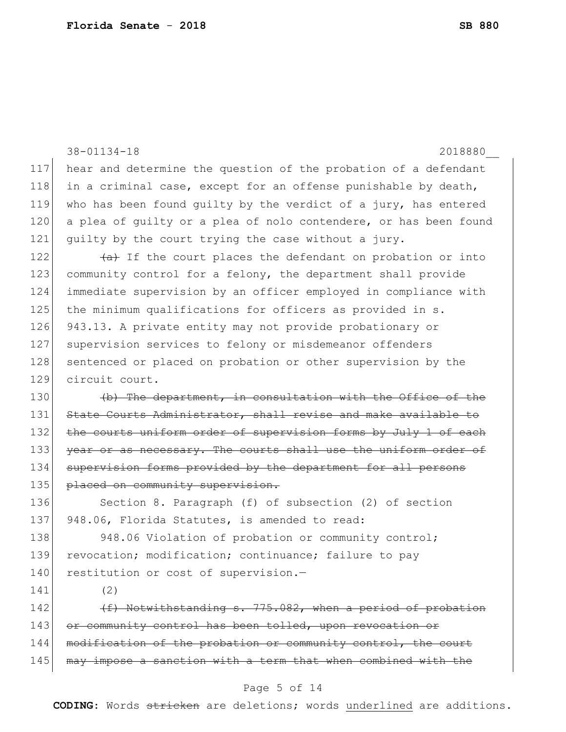|     | $38 - 01134 - 18$<br>2018880                                          |
|-----|-----------------------------------------------------------------------|
| 117 | hear and determine the question of the probation of a defendant       |
| 118 | in a criminal case, except for an offense punishable by death,        |
| 119 | who has been found guilty by the verdict of a jury, has entered       |
| 120 | a plea of guilty or a plea of nolo contendere, or has been found      |
| 121 | quilty by the court trying the case without a jury.                   |
| 122 | $\overline{a}$ If the court places the defendant on probation or into |
| 123 | community control for a felony, the department shall provide          |
| 124 | immediate supervision by an officer employed in compliance with       |
| 125 | the minimum qualifications for officers as provided in s.             |
| 126 | 943.13. A private entity may not provide probationary or              |
| 127 | supervision services to felony or misdemeanor offenders               |
| 128 | sentenced or placed on probation or other supervision by the          |
| 129 | circuit court.                                                        |
| 130 | (b) The department, in consultation with the Office of the            |
| 131 | State Courts Administrator, shall revise and make available to        |
| 132 | the courts uniform order of supervision forms by July 1 of each       |
| 133 | year or as necessary. The courts shall use the uniform order of       |
| 134 | supervision forms provided by the department for all persons          |
| 135 | placed on community supervision.                                      |
| 136 | Section 8. Paragraph (f) of subsection (2) of section                 |
| 137 | 948.06, Florida Statutes, is amended to read:                         |
| 138 | 948.06 Violation of probation or community control;                   |
| 139 | revocation; modification; continuance; failure to pay                 |
| 140 | restitution or cost of supervision.-                                  |
| 141 | (2)                                                                   |
| 142 | (f) Notwithstanding s. 775.082, when a period of probation            |
| 143 | or community control has been tolled, upon revocation or              |
| 144 | modification of the probation or community control, the court         |
| 145 | may impose a sanction with a term that when combined with the         |
|     |                                                                       |

# Page 5 of 14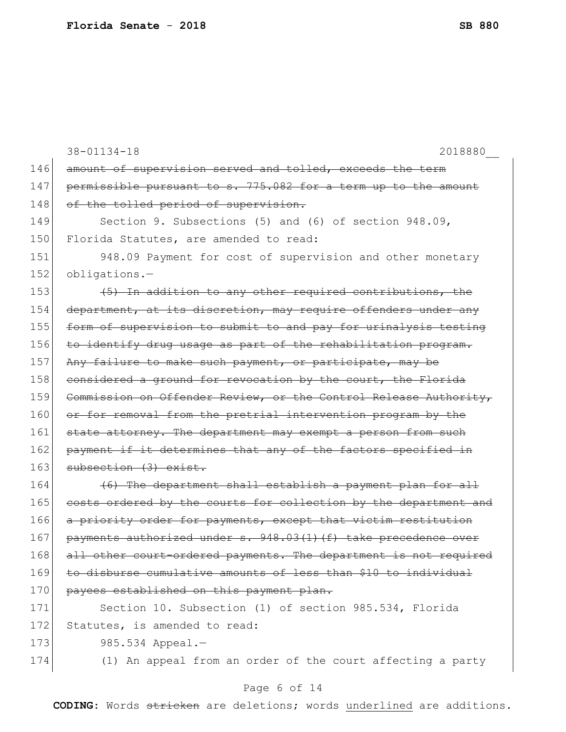38-01134-18 2018880\_\_ 146 amount of supervision served and tolled, exceeds the term  $147$  permissible pursuant to s. 775.082 for a term up to the amount 148 of the tolled period of supervision. 149 Section 9. Subsections (5) and (6) of section 948.09, 150 Florida Statutes, are amended to read: 151 948.09 Payment for cost of supervision and other monetary 152 obligations.- $153$  (5) In addition to any other required contributions, the 154 department, at its discretion, may require offenders under any 155 form of supervision to submit to and pay for urinalysis testing 156 to identify drug usage as part of the rehabilitation program. 157 Any failure to make such payment, or participate, may be 158 considered a ground for revocation by the court, the Florida 159 Commission on Offender Review, or the Control Release Authority, 160 or for removal from the pretrial intervention program by the 161 state attorney. The department may exempt a person from such 162 payment if it determines that any of the factors specified in 163 subsection (3) exist.  $164$  (6) The department shall establish a payment plan for all 165 costs ordered by the courts for collection by the department and 166 a priority order for payments, except that victim restitution 167 payments authorized under s. 948.03(1)(f) take precedence over 168 all other court-ordered payments. The department is not required 169 to disburse cumulative amounts of less than \$10 to individual 170 payees established on this payment plan. 171 Section 10. Subsection (1) of section 985.534, Florida 172 Statutes, is amended to read: 173 985.534 Appeal. 174 (1) An appeal from an order of the court affecting a party

### Page 6 of 14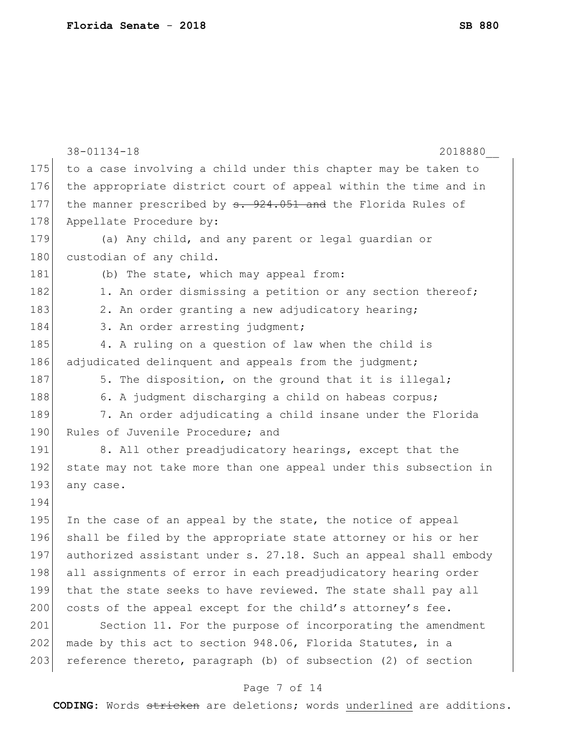|     | $38 - 01134 - 18$<br>2018880                                     |
|-----|------------------------------------------------------------------|
| 175 | to a case involving a child under this chapter may be taken to   |
| 176 | the appropriate district court of appeal within the time and in  |
| 177 | the manner prescribed by $s. 924.051$ and the Florida Rules of   |
| 178 | Appellate Procedure by:                                          |
| 179 | (a) Any child, and any parent or legal guardian or               |
| 180 | custodian of any child.                                          |
| 181 | (b) The state, which may appeal from:                            |
| 182 | 1. An order dismissing a petition or any section thereof;        |
| 183 | 2. An order granting a new adjudicatory hearing;                 |
| 184 | 3. An order arresting judgment;                                  |
| 185 | 4. A ruling on a question of law when the child is               |
| 186 | adjudicated delinquent and appeals from the judgment;            |
| 187 | 5. The disposition, on the ground that it is illegal;            |
| 188 | 6. A judgment discharging a child on habeas corpus;              |
| 189 | 7. An order adjudicating a child insane under the Florida        |
| 190 | Rules of Juvenile Procedure; and                                 |
| 191 | 8. All other preadjudicatory hearings, except that the           |
| 192 | state may not take more than one appeal under this subsection in |
| 193 | any case.                                                        |
| 194 |                                                                  |
| 195 | In the case of an appeal by the state, the notice of appeal      |
| 196 | shall be filed by the appropriate state attorney or his or her   |
| 197 | authorized assistant under s. 27.18. Such an appeal shall embody |
| 198 | all assignments of error in each preadjudicatory hearing order   |
| 199 | that the state seeks to have reviewed. The state shall pay all   |
| 200 | costs of the appeal except for the child's attorney's fee.       |
| 201 | Section 11. For the purpose of incorporating the amendment       |
| 202 | made by this act to section 948.06, Florida Statutes, in a       |
| 203 | reference thereto, paragraph (b) of subsection (2) of section    |

# Page 7 of 14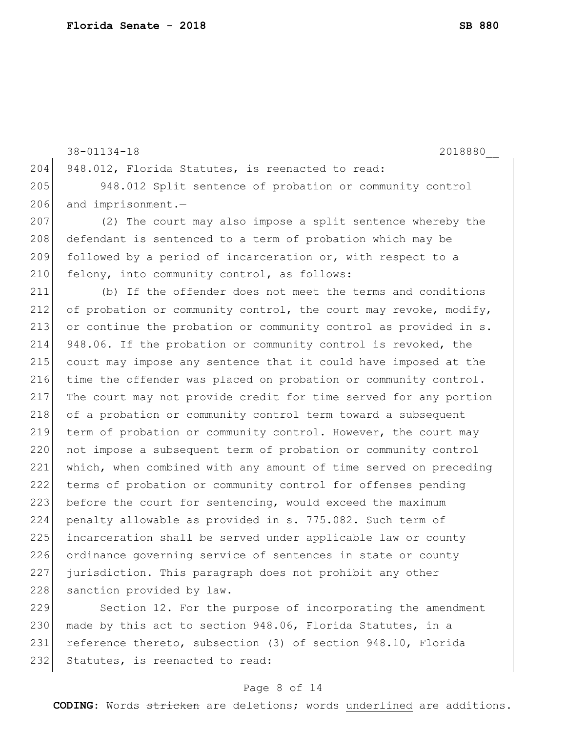```
38-01134-18 2018880__
204 948.012, Florida Statutes, is reenacted to read:
205 948.012 Split sentence of probation or community control 
206 and imprisonment.-
207 (2) The court may also impose a split sentence whereby the 
208 defendant is sentenced to a term of probation which may be
209 followed by a period of incarceration or, with respect to a
210 felony, into community control, as follows:
211 (b) If the offender does not meet the terms and conditions 
212 of probation or community control, the court may revoke, modify,
213 or continue the probation or community control as provided in s. 
214 948.06. If the probation or community control is revoked, the 
215 court may impose any sentence that it could have imposed at the 
216 time the offender was placed on probation or community control.
217 The court may not provide credit for time served for any portion 
218 of a probation or community control term toward a subsequent
219 term of probation or community control. However, the court may 
220 not impose a subsequent term of probation or community control 
221 which, when combined with any amount of time served on preceding 
222 terms of probation or community control for offenses pending 
223 before the court for sentencing, would exceed the maximum
224 penalty allowable as provided in s. 775.082. Such term of 
225 incarceration shall be served under applicable law or county
226 ordinance governing service of sentences in state or county 
227 jurisdiction. This paragraph does not prohibit any other 
228 sanction provided by law.
229 Section 12. For the purpose of incorporating the amendment
```
230 made by this act to section 948.06, Florida Statutes, in a 231 reference thereto, subsection (3) of section 948.10, Florida 232 Statutes, is reenacted to read:

#### Page 8 of 14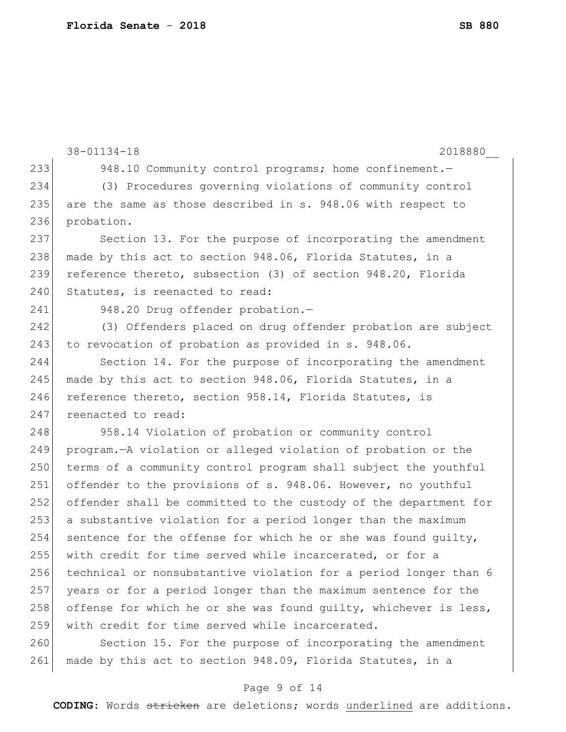```
38-01134-18 2018880__
233 948.10 Community control programs; home confinement.
234 (3) Procedures governing violations of community control 
235 are the same as those described in s. 948.06 with respect to 
236 probation.
237 Section 13. For the purpose of incorporating the amendment 
238 made by this act to section 948.06, Florida Statutes, in a
239 reference thereto, subsection (3) of section 948.20, Florida 
240 Statutes, is reenacted to read:
241 948.20 Drug offender probation.-
242 (3) Offenders placed on drug offender probation are subject 
243 to revocation of probation as provided in s. 948.06.
244 Section 14. For the purpose of incorporating the amendment 
245 made by this act to section 948.06, Florida Statutes, in a
246 reference thereto, section 958.14, Florida Statutes, is
247 reenacted to read:
248 958.14 Violation of probation or community control
249 program.—A violation or alleged violation of probation or the 
250 terms of a community control program shall subject the youthful
251 offender to the provisions of s. 948.06. However, no youthful 
252 offender shall be committed to the custody of the department for 
253 a substantive violation for a period longer than the maximum 
254 sentence for the offense for which he or she was found guilty, 
255 with credit for time served while incarcerated, or for a 
256 technical or nonsubstantive violation for a period longer than 6 
257 years or for a period longer than the maximum sentence for the 
258 offense for which he or she was found quilty, whichever is less,
259 with credit for time served while incarcerated.
260 Section 15. For the purpose of incorporating the amendment
261 made by this act to section 948.09, Florida Statutes, in a
```
### Page 9 of 14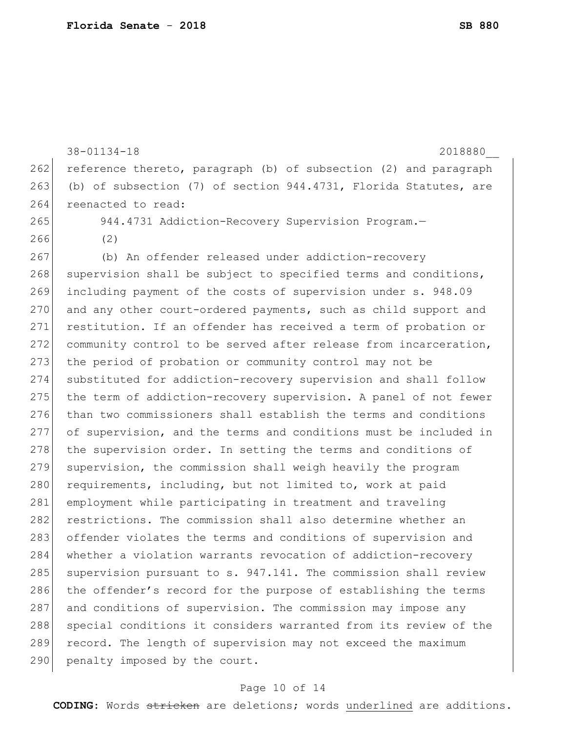38-01134-18 2018880\_\_ 262 reference thereto, paragraph (b) of subsection (2) and paragraph 263 (b) of subsection (7) of section 944.4731, Florida Statutes, are 264 reenacted to read: 265 944.4731 Addiction-Recovery Supervision Program.— 266 (2) 267 (b) An offender released under addiction-recovery 268 supervision shall be subject to specified terms and conditions, 269 including payment of the costs of supervision under s. 948.09 270 and any other court-ordered payments, such as child support and 271 restitution. If an offender has received a term of probation or 272 community control to be served after release from incarceration, 273 the period of probation or community control may not be 274 substituted for addiction-recovery supervision and shall follow 275 the term of addiction-recovery supervision. A panel of not fewer 276 than two commissioners shall establish the terms and conditions 277 of supervision, and the terms and conditions must be included in 278 the supervision order. In setting the terms and conditions of 279 supervision, the commission shall weigh heavily the program 280 requirements, including, but not limited to, work at paid 281 employment while participating in treatment and traveling 282 restrictions. The commission shall also determine whether an 283 offender violates the terms and conditions of supervision and 284 whether a violation warrants revocation of addiction-recovery 285 supervision pursuant to s.  $947.141$ . The commission shall review 286 the offender's record for the purpose of establishing the terms 287 and conditions of supervision. The commission may impose any 288 special conditions it considers warranted from its review of the 289 record. The length of supervision may not exceed the maximum 290 penalty imposed by the court.

### Page 10 of 14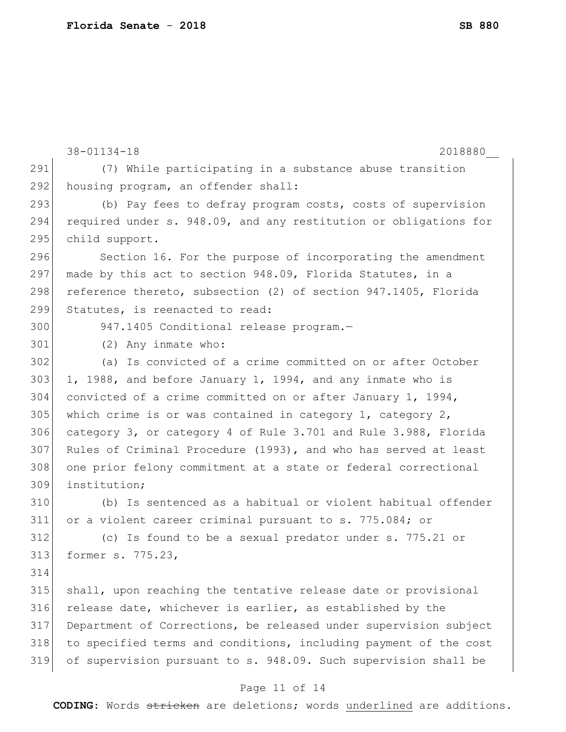|     | $38 - 01134 - 18$<br>2018880                                     |
|-----|------------------------------------------------------------------|
| 291 | (7) While participating in a substance abuse transition          |
| 292 | housing program, an offender shall:                              |
| 293 | (b) Pay fees to defray program costs, costs of supervision       |
| 294 | required under s. 948.09, and any restitution or obligations for |
| 295 | child support.                                                   |
| 296 | Section 16. For the purpose of incorporating the amendment       |
| 297 | made by this act to section 948.09, Florida Statutes, in a       |
| 298 | reference thereto, subsection (2) of section 947.1405, Florida   |
| 299 | Statutes, is reenacted to read:                                  |
| 300 | 947.1405 Conditional release program.-                           |
| 301 | (2) Any inmate who:                                              |
| 302 | (a) Is convicted of a crime committed on or after October        |
| 303 | 1, 1988, and before January 1, 1994, and any inmate who is       |
| 304 | convicted of a crime committed on or after January 1, 1994,      |
| 305 | which crime is or was contained in category $1$ , category $2$ , |
| 306 | category 3, or category 4 of Rule 3.701 and Rule 3.988, Florida  |
| 307 | Rules of Criminal Procedure (1993), and who has served at least  |
| 308 | one prior felony commitment at a state or federal correctional   |
| 309 | institution;                                                     |
| 310 | (b) Is sentenced as a habitual or violent habitual offender      |
| 311 | or a violent career criminal pursuant to s. 775.084; or          |
| 312 | (c) Is found to be a sexual predator under s. 775.21 or          |
| 313 | former s. 775.23,                                                |
| 314 |                                                                  |
| 315 | shall, upon reaching the tentative release date or provisional   |
| 316 | release date, whichever is earlier, as established by the        |
| 317 | Department of Corrections, be released under supervision subject |
| 318 | to specified terms and conditions, including payment of the cost |
| 319 | of supervision pursuant to s. 948.09. Such supervision shall be  |

# Page 11 of 14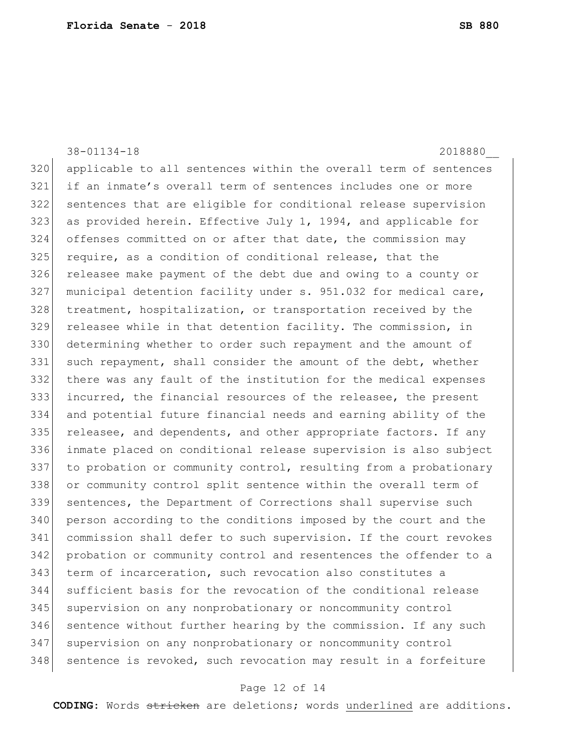38-01134-18 2018880\_\_ applicable to all sentences within the overall term of sentences if an inmate's overall term of sentences includes one or more sentences that are eligible for conditional release supervision as provided herein. Effective July 1, 1994, and applicable for offenses committed on or after that date, the commission may 325 require, as a condition of conditional release, that the releasee make payment of the debt due and owing to a county or municipal detention facility under s. 951.032 for medical care, treatment, hospitalization, or transportation received by the releasee while in that detention facility. The commission, in determining whether to order such repayment and the amount of 331 such repayment, shall consider the amount of the debt, whether there was any fault of the institution for the medical expenses incurred, the financial resources of the releasee, the present and potential future financial needs and earning ability of the 335 releasee, and dependents, and other appropriate factors. If any inmate placed on conditional release supervision is also subject 337 to probation or community control, resulting from a probationary or community control split sentence within the overall term of sentences, the Department of Corrections shall supervise such person according to the conditions imposed by the court and the commission shall defer to such supervision. If the court revokes probation or community control and resentences the offender to a term of incarceration, such revocation also constitutes a sufficient basis for the revocation of the conditional release supervision on any nonprobationary or noncommunity control sentence without further hearing by the commission. If any such supervision on any nonprobationary or noncommunity control 348 sentence is revoked, such revocation may result in a forfeiture

### Page 12 of 14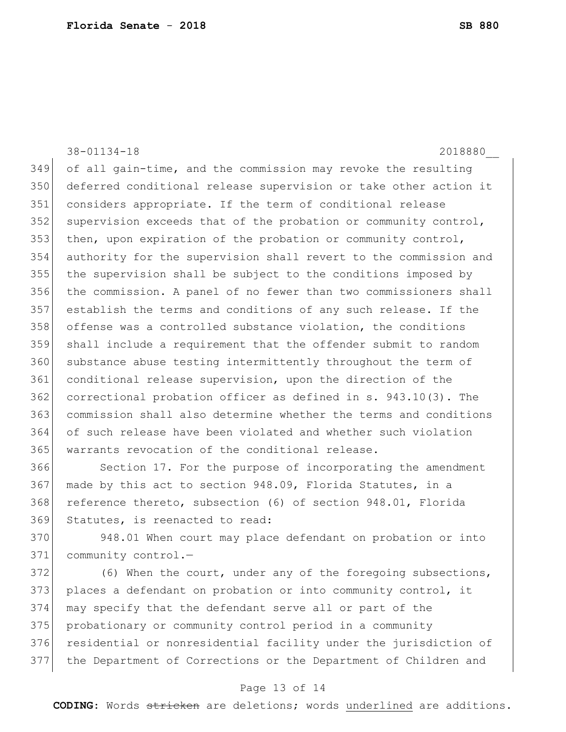38-01134-18 2018880\_\_ of all gain-time, and the commission may revoke the resulting deferred conditional release supervision or take other action it considers appropriate. If the term of conditional release 352 supervision exceeds that of the probation or community control, then, upon expiration of the probation or community control, authority for the supervision shall revert to the commission and the supervision shall be subject to the conditions imposed by the commission. A panel of no fewer than two commissioners shall establish the terms and conditions of any such release. If the offense was a controlled substance violation, the conditions shall include a requirement that the offender submit to random 360 substance abuse testing intermittently throughout the term of conditional release supervision, upon the direction of the correctional probation officer as defined in s. 943.10(3). The commission shall also determine whether the terms and conditions of such release have been violated and whether such violation warrants revocation of the conditional release. Section 17. For the purpose of incorporating the amendment made by this act to section 948.09, Florida Statutes, in a

368 reference thereto, subsection (6) of section 948.01, Florida Statutes, is reenacted to read:

 948.01 When court may place defendant on probation or into 371 community control.-

 (6) When the court, under any of the foregoing subsections, places a defendant on probation or into community control, it may specify that the defendant serve all or part of the probationary or community control period in a community 376 residential or nonresidential facility under the jurisdiction of the Department of Corrections or the Department of Children and

### Page 13 of 14